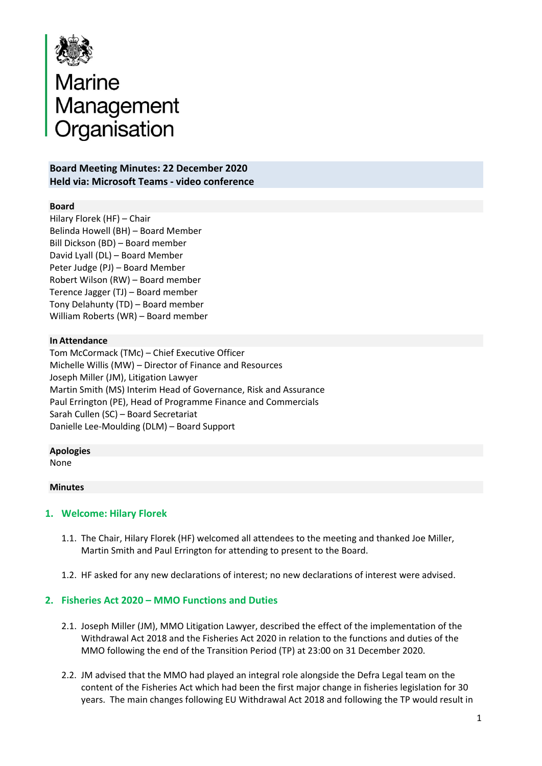

# Marine<br>Management<br>Organisation

## **Board Meeting Minutes: 22 December 2020 Held via: Microsoft Teams - video conference**

## **Board**

Hilary Florek (HF) – Chair Belinda Howell (BH) – Board Member Bill Dickson (BD) – Board member David Lyall (DL) – Board Member Peter Judge (PJ) – Board Member Robert Wilson (RW) – Board member Terence Jagger (TJ) – Board member Tony Delahunty (TD) – Board member William Roberts (WR) – Board member

### **In Attendance**

Tom McCormack (TMc) – Chief Executive Officer Michelle Willis (MW) – Director of Finance and Resources Joseph Miller (JM), Litigation Lawyer Martin Smith (MS) Interim Head of Governance, Risk and Assurance Paul Errington (PE), Head of Programme Finance and Commercials Sarah Cullen (SC) – Board Secretariat Danielle Lee-Moulding (DLM) – Board Support

#### **Apologies**

None

#### **Minutes**

### **1. Welcome: Hilary Florek**

- 1.1. The Chair, Hilary Florek (HF) welcomed all attendees to the meeting and thanked Joe Miller, Martin Smith and Paul Errington for attending to present to the Board.
- 1.2. HF asked for any new declarations of interest; no new declarations of interest were advised.

### **2. Fisheries Act 2020 – MMO Functions and Duties**

- 2.1. Joseph Miller (JM), MMO Litigation Lawyer, described the effect of the implementation of the Withdrawal Act 2018 and the Fisheries Act 2020 in relation to the functions and duties of the MMO following the end of the Transition Period (TP) at 23:00 on 31 December 2020.
- 2.2. JM advised that the MMO had played an integral role alongside the Defra Legal team on the content of the Fisheries Act which had been the first major change in fisheries legislation for 30 years. The main changes following EU Withdrawal Act 2018 and following the TP would result in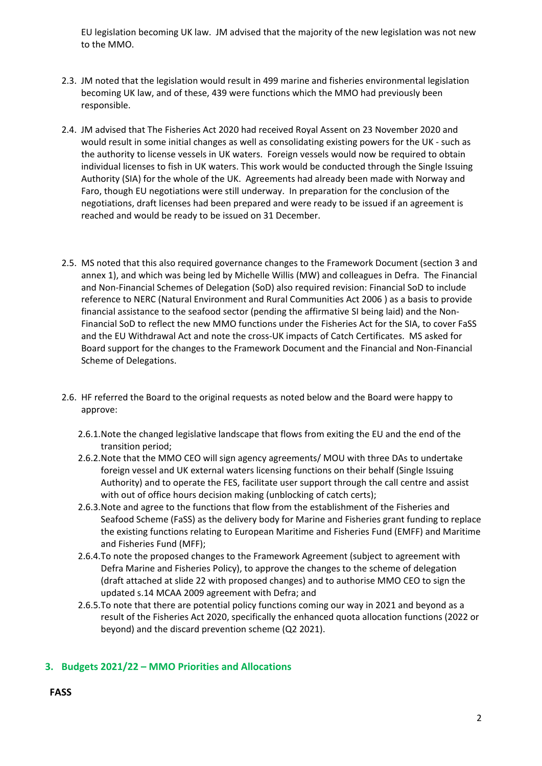EU legislation becoming UK law. JM advised that the majority of the new legislation was not new to the MMO.

- 2.3. JM noted that the legislation would result in 499 marine and fisheries environmental legislation becoming UK law, and of these, 439 were functions which the MMO had previously been responsible.
- 2.4. JM advised that The Fisheries Act 2020 had received Royal Assent on 23 November 2020 and would result in some initial changes as well as consolidating existing powers for the UK - such as the authority to license vessels in UK waters. Foreign vessels would now be required to obtain individual licenses to fish in UK waters. This work would be conducted through the Single Issuing Authority (SIA) for the whole of the UK. Agreements had already been made with Norway and Faro, though EU negotiations were still underway. In preparation for the conclusion of the negotiations, draft licenses had been prepared and were ready to be issued if an agreement is reached and would be ready to be issued on 31 December.
- 2.5. MS noted that this also required governance changes to the Framework Document (section 3 and annex 1), and which was being led by Michelle Willis (MW) and colleagues in Defra. The Financial and Non-Financial Schemes of Delegation (SoD) also required revision: Financial SoD to include reference to NERC (Natural Environment and Rural Communities Act 2006 ) as a basis to provide financial assistance to the seafood sector (pending the affirmative SI being laid) and the Non-Financial SoD to reflect the new MMO functions under the Fisheries Act for the SIA, to cover FaSS and the EU Withdrawal Act and note the cross-UK impacts of Catch Certificates. MS asked for Board support for the changes to the Framework Document and the Financial and Non-Financial Scheme of Delegations.
- 2.6. HF referred the Board to the original requests as noted below and the Board were happy to approve:
	- 2.6.1.Note the changed legislative landscape that flows from exiting the EU and the end of the transition period;
	- 2.6.2.Note that the MMO CEO will sign agency agreements/ MOU with three DAs to undertake foreign vessel and UK external waters licensing functions on their behalf (Single Issuing Authority) and to operate the FES, facilitate user support through the call centre and assist with out of office hours decision making (unblocking of catch certs);
	- 2.6.3.Note and agree to the functions that flow from the establishment of the Fisheries and Seafood Scheme (FaSS) as the delivery body for Marine and Fisheries grant funding to replace the existing functions relating to European Maritime and Fisheries Fund (EMFF) and Maritime and Fisheries Fund (MFF);
	- 2.6.4.To note the proposed changes to the Framework Agreement (subject to agreement with Defra Marine and Fisheries Policy), to approve the changes to the scheme of delegation (draft attached at slide 22 with proposed changes) and to authorise MMO CEO to sign the updated s.14 MCAA 2009 agreement with Defra; and
	- 2.6.5.To note that there are potential policy functions coming our way in 2021 and beyond as a result of the Fisheries Act 2020, specifically the enhanced quota allocation functions (2022 or beyond) and the discard prevention scheme (Q2 2021).

# **3. Budgets 2021/22 – MMO Priorities and Allocations**